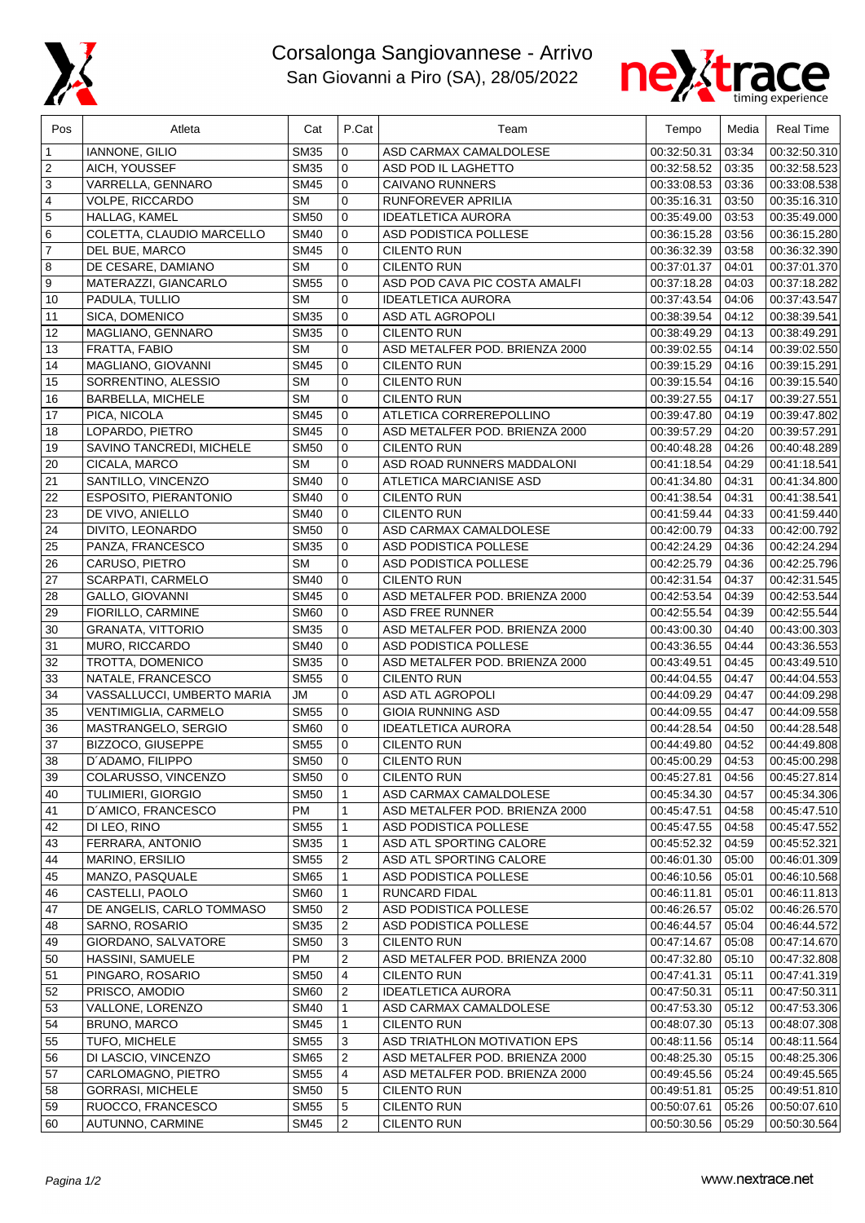

## Corsalonga Sangiovannese - Arrivo San Giovanni a Piro (SA), 28/05/2022



| Pos            | Atleta                                | Cat                        | P.Cat            | Team                                            | Tempo                      | Media          | <b>Real Time</b>             |
|----------------|---------------------------------------|----------------------------|------------------|-------------------------------------------------|----------------------------|----------------|------------------------------|
| 1              | <b>IANNONE, GILIO</b>                 | <b>SM35</b>                | 0                | ASD CARMAX CAMALDOLESE                          | 00:32:50.31                | 03:34          | 00:32:50.310                 |
| 2              | AICH, YOUSSEF                         | <b>SM35</b>                | 0                | ASD POD IL LAGHETTO                             | 00:32:58.52                | 03:35          | 00:32:58.523                 |
| 3              | VARRELLA, GENNARO                     | <b>SM45</b>                | $\mathbf 0$      | <b>CAIVANO RUNNERS</b>                          | 00:33:08.53                | 03:36          | 00:33:08.538                 |
| 4              | VOLPE, RICCARDO                       | <b>SM</b>                  | $\mathbf 0$      | RUNFOREVER APRILIA                              | 00:35:16.31                | 03:50          | 00:35:16.310                 |
| 5              | HALLAG, KAMEL                         | <b>SM50</b>                | 0                | <b>IDEATLETICA AURORA</b>                       | 00:35:49.00                | 03:53          | 00:35:49.000                 |
| 6              | COLETTA, CLAUDIO MARCELLO             | <b>SM40</b>                | 0                | ASD PODISTICA POLLESE                           | 00:36:15.28                | 03:56          | 00:36:15.280                 |
| $\overline{7}$ | DEL BUE, MARCO                        | <b>SM45</b>                | 0                | <b>CILENTO RUN</b>                              | 00:36:32.39                | 03:58          | 00:36:32.390                 |
| 8              | DE CESARE, DAMIANO                    | <b>SM</b>                  | 0                | <b>CILENTO RUN</b>                              | 00:37:01.37                | 04:01          | 00:37:01.370                 |
| 9              | MATERAZZI, GIANCARLO                  | <b>SM55</b>                | $\mathbf 0$      | ASD POD CAVA PIC COSTA AMALFI                   | 00:37:18.28                | 04:03          | 00:37:18.282                 |
| 10             | PADULA, TULLIO                        | <b>SM</b>                  | $\mathbf 0$      | <b>IDEATLETICA AURORA</b>                       | 00:37:43.54                | 04:06          | 00:37:43.547                 |
| 11             | SICA, DOMENICO                        | <b>SM35</b>                | $\mathbf 0$      | <b>ASD ATL AGROPOLI</b>                         | 00:38:39.54                | 04:12          | 00:38:39.541                 |
| 12             | MAGLIANO, GENNARO                     | <b>SM35</b>                | 0                | <b>CILENTO RUN</b>                              | 00:38:49.29                | 04:13          | 00:38:49.291                 |
| 13             | FRATTA, FABIO                         | <b>SM</b>                  | $\mathbf 0$      | ASD METALFER POD. BRIENZA 2000                  | 00:39:02.55                | 04:14          | 00:39:02.550                 |
| 14             | MAGLIANO, GIOVANNI                    | <b>SM45</b>                | 0                | <b>CILENTO RUN</b>                              | 00:39:15.29                | 04:16          | 00:39:15.291                 |
| 15             | SORRENTINO, ALESSIO                   | <b>SM</b>                  | 0                | <b>CILENTO RUN</b>                              | 00:39:15.54                | 04:16          | 00:39:15.540                 |
| 16             | <b>BARBELLA, MICHELE</b>              | <b>SM</b>                  | $\mathbf 0$      | <b>CILENTO RUN</b>                              | 00:39:27.55                | 04:17          | 00:39:27.551                 |
| 17             | PICA, NICOLA                          | <b>SM45</b>                | 0                | ATLETICA CORREREPOLLINO                         | 00:39:47.80                | 04:19          | 00:39:47.802                 |
| 18             | LOPARDO, PIETRO                       | <b>SM45</b>                | $\mathbf 0$      | ASD METALFER POD. BRIENZA 2000                  | 00:39:57.29                | 04:20          | 00:39:57.291                 |
| 19             | SAVINO TANCREDI, MICHELE              | <b>SM50</b>                | 0                | <b>CILENTO RUN</b>                              | 00:40:48.28                | 04:26          | 00:40:48.289                 |
| 20             | CICALA, MARCO                         | <b>SM</b>                  | $\mathbf 0$      | ASD ROAD RUNNERS MADDALONI                      | 00:41:18.54                | 04:29          | 00:41:18.541                 |
| 21             | SANTILLO, VINCENZO                    | <b>SM40</b>                | $\mathbf 0$      | ATLETICA MARCIANISE ASD                         | 00:41:34.80                | 04:31          | 00:41:34.800                 |
| 22             | ESPOSITO, PIERANTONIO                 | <b>SM40</b>                | 0                | <b>CILENTO RUN</b>                              | 00:41:38.54                | 04:31          | 00:41:38.541                 |
| 23             | DE VIVO, ANIELLO                      | <b>SM40</b>                | 0                | <b>CILENTO RUN</b>                              | 00:41:59.44                | 04:33          | 00:41:59.440                 |
| 24             | DIVITO, LEONARDO                      | <b>SM50</b>                | 0                | ASD CARMAX CAMALDOLESE                          | 00:42:00.79                | 04:33          | 00:42:00.792                 |
| 25             | PANZA, FRANCESCO                      | <b>SM35</b>                | 0                | ASD PODISTICA POLLESE                           | 00:42:24.29                | 04:36          | 00:42:24.294                 |
| 26             | CARUSO, PIETRO                        | <b>SM</b>                  | $\mathbf 0$      | ASD PODISTICA POLLESE                           | 00:42:25.79                | 04:36          | 00:42:25.796                 |
| 27             | SCARPATI, CARMELO                     | <b>SM40</b>                | 0                | <b>CILENTO RUN</b>                              | 00:42:31.54                | 04:37          | 00:42:31.545                 |
| 28             | GALLO, GIOVANNI                       | <b>SM45</b>                | 0                | ASD METALFER POD. BRIENZA 2000                  | 00:42:53.54                | 04:39          | 00:42:53.544                 |
| 29             | FIORILLO, CARMINE                     | <b>SM60</b>                | 0                | <b>ASD FREE RUNNER</b>                          | 00:42:55.54                | 04:39          | 00:42:55.544                 |
| 30             | <b>GRANATA, VITTORIO</b>              | <b>SM35</b>                | 0                | ASD METALFER POD. BRIENZA 2000                  | 00:43:00.30                | 04:40          | 00:43:00.303                 |
| 31             | MURO, RICCARDO                        | <b>SM40</b>                | 0                | ASD PODISTICA POLLESE                           | 00:43:36.55                | 04:44          | 00:43:36.553                 |
| 32             | TROTTA, DOMENICO                      | <b>SM35</b>                | $\mathbf 0$      | ASD METALFER POD. BRIENZA 2000                  | 00:43:49.51                | 04:45          | 00:43:49.510                 |
| 33             | NATALE, FRANCESCO                     | <b>SM55</b>                | 0                | <b>CILENTO RUN</b>                              | 00:44:04.55                | 04:47          | 00:44:04.553                 |
| 34             | VASSALLUCCI, UMBERTO MARIA            | <b>JM</b>                  | $\mathbf 0$      | ASD ATL AGROPOLI                                | 00:44:09.29                | 04:47          | 00:44:09.298                 |
| 35             | VENTIMIGLIA, CARMELO                  | <b>SM55</b>                | 0                | <b>GIOIA RUNNING ASD</b>                        | 00:44:09.55                | 04:47          | 00:44:09.558                 |
| 36             | MASTRANGELO, SERGIO                   | <b>SM60</b>                | 0                | <b>IDEATLETICA AURORA</b><br><b>CILENTO RUN</b> | 00:44:28.54                | 04:50          | 00:44:28.548                 |
| 37<br>38       | BIZZOCO, GIUSEPPE<br>D'ADAMO, FILIPPO | <b>SM55</b><br><b>SM50</b> | 0<br>$\mathbf 0$ | <b>CILENTO RUN</b>                              | 00:44:49.80<br>00:45:00.29 | 04:52<br>04:53 | 00:44:49.808<br>00:45:00.298 |
|                | COLARUSSO, VINCENZO                   | <b>SM50</b>                |                  | <b>CILENTO RUN</b>                              | 00:45:27.81                |                | 00:45:27.814                 |
| 39<br>40       | TULIMIERI, GIORGIO                    | <b>SM50</b>                | 0<br>1           | ASD CARMAX CAMALDOLESE                          | 00:45:34.30                | 04:56<br>04:57 | 00:45:34.306                 |
| 41             | D'AMICO, FRANCESCO                    | PM                         | 1                | ASD METALFER POD. BRIENZA 2000                  | 00:45:47.51                | 04:58          | 00:45:47.510                 |
| 42             | DI LEO, RINO                          | <b>SM55</b>                | 1                | ASD PODISTICA POLLESE                           | 00:45:47.55                | 04:58          | 00:45:47.552                 |
| 43             | FERRARA, ANTONIO                      | <b>SM35</b>                | 1                | ASD ATL SPORTING CALORE                         | 00:45:52.32                | 04:59          | 00:45:52.321                 |
| 44             | MARINO, ERSILIO                       | <b>SM55</b>                | 2                | ASD ATL SPORTING CALORE                         | 00:46:01.30                | 05:00          | 00:46:01.309                 |
| 45             | MANZO, PASQUALE                       | <b>SM65</b>                | 1                | ASD PODISTICA POLLESE                           | 00:46:10.56                | 05:01          | 00:46:10.568                 |
| 46             | CASTELLI, PAOLO                       | <b>SM60</b>                | 1                | RUNCARD FIDAL                                   | 00:46:11.81                | 05:01          | 00:46:11.813                 |
| 47             | DE ANGELIS, CARLO TOMMASO             | <b>SM50</b>                | 2                | ASD PODISTICA POLLESE                           | 00:46:26.57                | 05:02          | 00:46:26.570                 |
| 48             | SARNO, ROSARIO                        | <b>SM35</b>                | $\overline{c}$   | ASD PODISTICA POLLESE                           | 00:46:44.57                | 05:04          | 00:46:44.572                 |
| 49             | GIORDANO, SALVATORE                   | <b>SM50</b>                | 3                | <b>CILENTO RUN</b>                              | 00:47:14.67                | 05:08          | 00:47:14.670                 |
| 50             | HASSINI, SAMUELE                      | PM                         | 2                | ASD METALFER POD. BRIENZA 2000                  | 00:47:32.80                | 05:10          | 00:47:32.808                 |
| 51             | PINGARO, ROSARIO                      | <b>SM50</b>                | 4                | <b>CILENTO RUN</b>                              | 00:47:41.31                | 05:11          | 00:47:41.319                 |
| 52             | PRISCO, AMODIO                        | <b>SM60</b>                | 2                | <b>IDEATLETICA AURORA</b>                       | 00:47:50.31                | 05:11          | 00:47:50.311                 |
| 53             | VALLONE, LORENZO                      | <b>SM40</b>                | $\mathbf{1}$     | ASD CARMAX CAMALDOLESE                          | 00:47:53.30                | 05:12          | 00:47:53.306                 |
| 54             | BRUNO, MARCO                          | <b>SM45</b>                | $\mathbf{1}$     | <b>CILENTO RUN</b>                              | 00:48:07.30                | 05:13          | 00:48:07.308                 |
| 55             | TUFO, MICHELE                         | <b>SM55</b>                | 3                | ASD TRIATHLON MOTIVATION EPS                    | 00:48:11.56                | 05:14          | 00:48:11.564                 |
| 56             | DI LASCIO, VINCENZO                   | <b>SM65</b>                | 2                | ASD METALFER POD. BRIENZA 2000                  | 00:48:25.30                | 05:15          | 00:48:25.306                 |
| 57             | CARLOMAGNO, PIETRO                    | <b>SM55</b>                | 4                | ASD METALFER POD. BRIENZA 2000                  | 00:49:45.56                | 05:24          | 00:49:45.565                 |
| 58             | <b>GORRASI, MICHELE</b>               | <b>SM50</b>                | 5                | <b>CILENTO RUN</b>                              | 00:49:51.81                | 05:25          | 00:49:51.810                 |
| 59             | RUOCCO, FRANCESCO                     | <b>SM55</b>                | 5                | CILENTO RUN                                     | 00:50:07.61                | 05:26          | 00:50:07.610                 |
| 60             | AUTUNNO, CARMINE                      | <b>SM45</b>                | $\overline{2}$   | <b>CILENTO RUN</b>                              | 00:50:30.56                | 05:29          | 00:50:30.564                 |